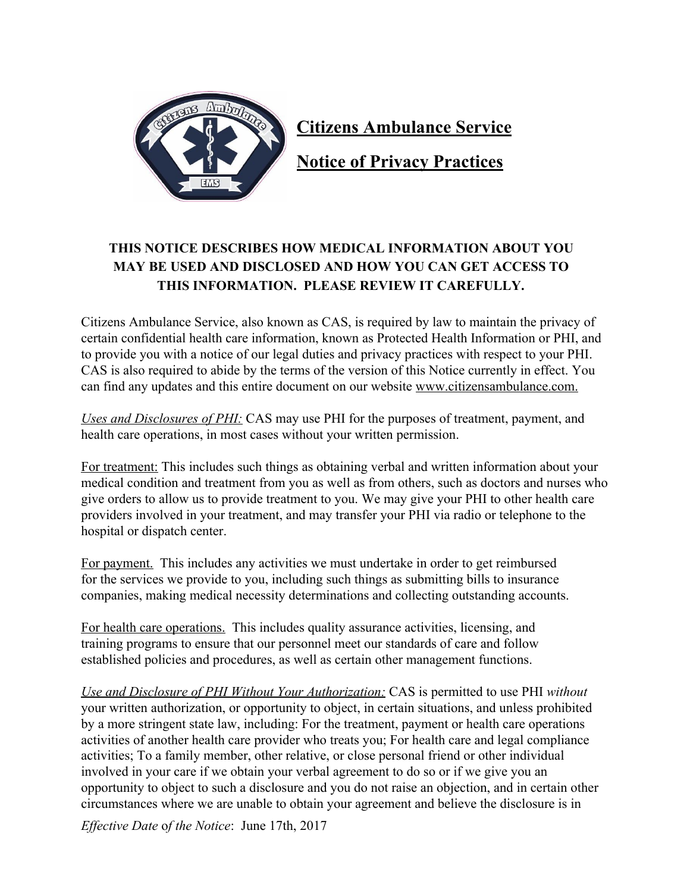

**Citizens Ambulance Service**

**Notice of Privacy Practices**

## **THIS NOTICE DESCRIBES HOW MEDICAL INFORMATION ABOUT YOU MAY BE USED AND DISCLOSED AND HOW YOU CAN GET ACCESS TO THIS INFORMATION. PLEASE REVIEW IT CAREFULLY.**

Citizens Ambulance Service, also known as CAS, is required by law to maintain the privacy of certain confidential health care information, known as Protected Health Information or PHI, and to provide you with a notice of our legal duties and privacy practices with respect to your PHI. CAS is also required to abide by the terms of the version of this Notice currently in effect. You can find any updates and this entire document on our website www.citizensambulance.com.

*Uses and Disclosures of PHI:* CAS may use PHI for the purposes of treatment, payment, and health care operations, in most cases without your written permission.

For treatment: This includes such things as obtaining verbal and written information about your medical condition and treatment from you as well as from others, such as doctors and nurses who give orders to allow us to provide treatment to you. We may give your PHI to other health care providers involved in your treatment, and may transfer your PHI via radio or telephone to the hospital or dispatch center.

For payment. This includes any activities we must undertake in order to get reimbursed for the services we provide to you, including such things as submitting bills to insurance companies, making medical necessity determinations and collecting outstanding accounts.

For health care operations. This includes quality assurance activities, licensing, and training programs to ensure that our personnel meet our standards of care and follow established policies and procedures, as well as certain other management functions.

*Use and Disclosure of PHI Without Your Authorization:* CAS is permitted to use PHI *without* your written authorization, or opportunity to object, in certain situations, and unless prohibited by a more stringent state law, including: For the treatment, payment or health care operations activities of another health care provider who treats you; For health care and legal compliance activities; To a family member, other relative, or close personal friend or other individual involved in your care if we obtain your verbal agreement to do so or if we give you an opportunity to object to such a disclosure and you do not raise an objection, and in certain other circumstances where we are unable to obtain your agreement and believe the disclosure is in

*Effective Date* o*f the Notice*: June 17th, 2017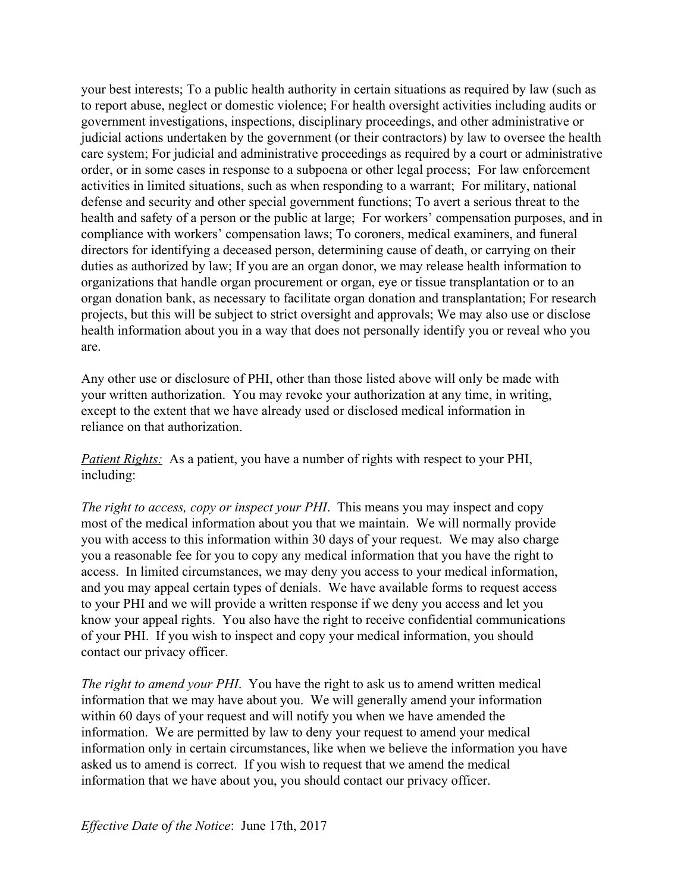your best interests; To a public health authority in certain situations as required by law (such as to report abuse, neglect or domestic violence; For health oversight activities including audits or government investigations, inspections, disciplinary proceedings, and other administrative or judicial actions undertaken by the government (or their contractors) by law to oversee the health care system; For judicial and administrative proceedings as required by a court or administrative order, or in some cases in response to a subpoena or other legal process; For law enforcement activities in limited situations, such as when responding to a warrant; For military, national defense and security and other special government functions; To avert a serious threat to the health and safety of a person or the public at large; For workers' compensation purposes, and in compliance with workers' compensation laws; To coroners, medical examiners, and funeral directors for identifying a deceased person, determining cause of death, or carrying on their duties as authorized by law; If you are an organ donor, we may release health information to organizations that handle organ procurement or organ, eye or tissue transplantation or to an organ donation bank, as necessary to facilitate organ donation and transplantation; For research projects, but this will be subject to strict oversight and approvals; We may also use or disclose health information about you in a way that does not personally identify you or reveal who you are.

Any other use or disclosure of PHI, other than those listed above will only be made with your written authorization. You may revoke your authorization at any time, in writing, except to the extent that we have already used or disclosed medical information in reliance on that authorization.

*Patient Rights:* As a patient, you have a number of rights with respect to your PHI, including:

*The right to access, copy or inspect your PHI*. This means you may inspect and copy most of the medical information about you that we maintain. We will normally provide you with access to this information within 30 days of your request. We may also charge you a reasonable fee for you to copy any medical information that you have the right to access. In limited circumstances, we may deny you access to your medical information, and you may appeal certain types of denials. We have available forms to request access to your PHI and we will provide a written response if we deny you access and let you know your appeal rights. You also have the right to receive confidential communications of your PHI. If you wish to inspect and copy your medical information, you should contact our privacy officer.

*The right to amend your PHI*. You have the right to ask us to amend written medical information that we may have about you. We will generally amend your information within 60 days of your request and will notify you when we have amended the information. We are permitted by law to deny your request to amend your medical information only in certain circumstances, like when we believe the information you have asked us to amend is correct. If you wish to request that we amend the medical information that we have about you, you should contact our privacy officer.